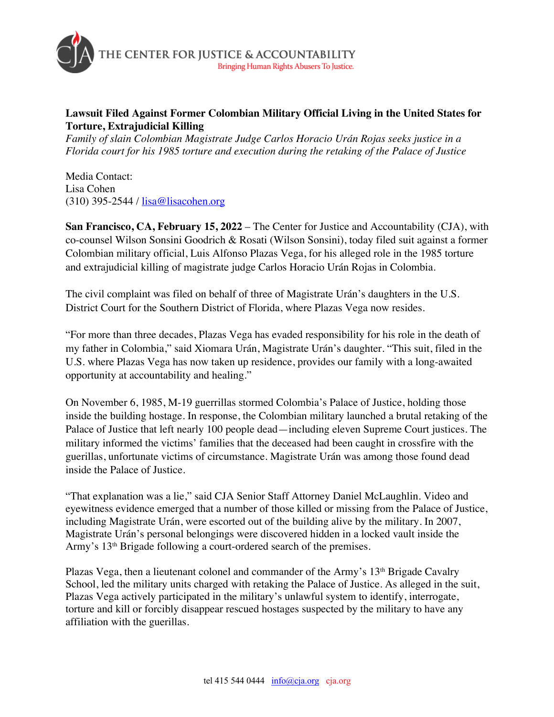

## **Lawsuit Filed Against Former Colombian Military Official Living in the United States for Torture, Extrajudicial Killing**

*Family of slain Colombian Magistrate Judge Carlos Horacio Urán Rojas seeks justice in a Florida court for his 1985 torture and execution during the retaking of the Palace of Justice*

Media Contact: Lisa Cohen (310) 395-2544 / lisa@lisacohen.org

**San Francisco, CA, February 15, 2022** – The Center for Justice and Accountability (CJA), with co-counsel Wilson Sonsini Goodrich & Rosati (Wilson Sonsini), today filed suit against a former Colombian military official, Luis Alfonso Plazas Vega, for his alleged role in the 1985 torture and extrajudicial killing of magistrate judge Carlos Horacio Urán Rojas in Colombia.

The civil complaint was filed on behalf of three of Magistrate Urán's daughters in the U.S. District Court for the Southern District of Florida, where Plazas Vega now resides.

"For more than three decades, Plazas Vega has evaded responsibility for his role in the death of my father in Colombia," said Xiomara Urán, Magistrate Urán's daughter. "This suit, filed in the U.S. where Plazas Vega has now taken up residence, provides our family with a long-awaited opportunity at accountability and healing."

On November 6, 1985, M-19 guerrillas stormed Colombia's Palace of Justice, holding those inside the building hostage. In response, the Colombian military launched a brutal retaking of the Palace of Justice that left nearly 100 people dead—including eleven Supreme Court justices. The military informed the victims' families that the deceased had been caught in crossfire with the guerillas, unfortunate victims of circumstance. Magistrate Urán was among those found dead inside the Palace of Justice.

"That explanation was a lie," said CJA Senior Staff Attorney Daniel McLaughlin. Video and eyewitness evidence emerged that a number of those killed or missing from the Palace of Justice, including Magistrate Urán, were escorted out of the building alive by the military. In 2007, Magistrate Urán's personal belongings were discovered hidden in a locked vault inside the Army's 13<sup>th</sup> Brigade following a court-ordered search of the premises.

Plazas Vega, then a lieutenant colonel and commander of the Army's  $13<sup>th</sup>$  Brigade Cavalry School, led the military units charged with retaking the Palace of Justice. As alleged in the suit, Plazas Vega actively participated in the military's unlawful system to identify, interrogate, torture and kill or forcibly disappear rescued hostages suspected by the military to have any affiliation with the guerillas.